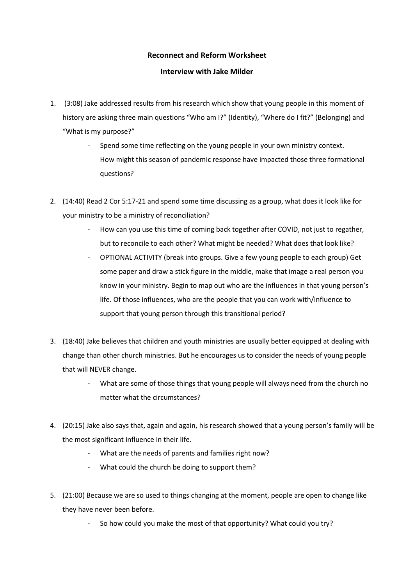## **Reconnect and Reform Worksheet**

## **Interview with Jake Milder**

- 1. (3:08) Jake addressed results from his research which show that young people in this moment of history are asking three main questions "Who am I?" (Identity), "Where do I fit?" (Belonging) and "What is my purpose?"
	- Spend some time reflecting on the young people in your own ministry context. How might this season of pandemic response have impacted those three formational questions?
- 2. (14:40) Read 2 Cor 5:17-21 and spend some time discussing as a group, what does it look like for your ministry to be a ministry of reconciliation?
	- How can you use this time of coming back together after COVID, not just to regather, but to reconcile to each other? What might be needed? What does that look like?
	- OPTIONAL ACTIVITY (break into groups. Give a few young people to each group) Get some paper and draw a stick figure in the middle, make that image a real person you know in your ministry. Begin to map out who are the influences in that young person's life. Of those influences, who are the people that you can work with/influence to support that young person through this transitional period?
- 3. (18:40) Jake believes that children and youth ministries are usually better equipped at dealing with change than other church ministries. But he encourages us to consider the needs of young people that will NEVER change.
	- What are some of those things that young people will always need from the church no matter what the circumstances?
- 4. (20:15) Jake also says that, again and again, his research showed that a young person's family will be the most significant influence in their life.
	- What are the needs of parents and families right now?
	- What could the church be doing to support them?
- 5. (21:00) Because we are so used to things changing at the moment, people are open to change like they have never been before.
	- So how could you make the most of that opportunity? What could you try?